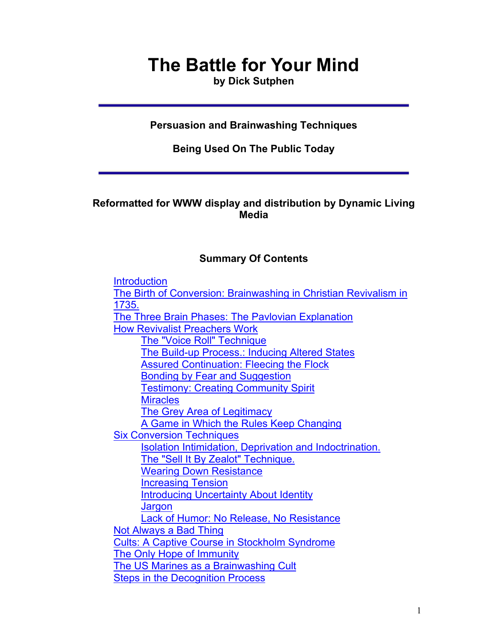# **The Battle for Your Mind**

**by Dick Sutphen**

**Persuasion and Brainwashing Techniques** 

**Being Used On The Public Today**

# **Reformatted for WWW display and distribution by Dynamic Living Media**

# **Summary Of Contents**

**Introduction** The Birth of Conversion: Brainwashing in Christian Revivalism in 1735. The Three Brain Phases: The Pavlovian Explanation How Revivalist Preachers Work The "Voice Roll" Technique The Build-up Process.: Inducing Altered States Assured Continuation: Fleecing the Flock Bonding by Fear and Suggestion Testimony: Creating Community Spirit **Miracles** The Grey Area of Legitimacy A Game in Which the Rules Keep Changing Six Conversion Techniques Isolation Intimidation, Deprivation and Indoctrination. The "Sell It By Zealot" Technique. Wearing Down Resistance Increasing Tension Introducing Uncertainty About Identity **Jargon** Lack of Humor: No Release, No Resistance Not Always a Bad Thing Cults: A Captive Course in Stockholm Syndrome The Only Hope of Immunity The US Marines as a Brainwashing Cult Steps in the Decognition Process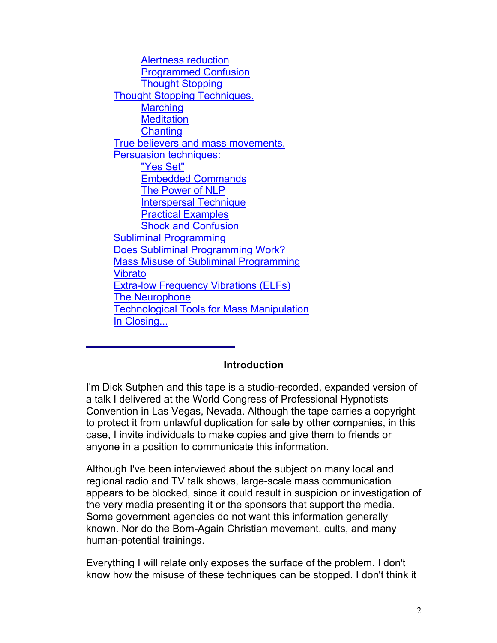Alertness reduction Programmed Confusion Thought Stopping Thought Stopping Techniques. **Marching Meditation Chanting** True believers and mass movements. Persuasion techniques: "Yes Set" Embedded Commands The Power of NLP Interspersal Technique Practical Examples Shock and Confusion Subliminal Programming Does Subliminal Programming Work? Mass Misuse of Subliminal Programming Vibrato **Extra-low Frequency Vibrations (ELFs)** The Neurophone Technological Tools for Mass Manipulation In Closing...

#### **Introduction**

I'm Dick Sutphen and this tape is a studio-recorded, expanded version of a talk I delivered at the World Congress of Professional Hypnotists Convention in Las Vegas, Nevada. Although the tape carries a copyright to protect it from unlawful duplication for sale by other companies, in this case, I invite individuals to make copies and give them to friends or anyone in a position to communicate this information.

Although I've been interviewed about the subject on many local and regional radio and TV talk shows, large-scale mass communication appears to be blocked, since it could result in suspicion or investigation of the very media presenting it or the sponsors that support the media. Some government agencies do not want this information generally known. Nor do the Born-Again Christian movement, cults, and many human-potential trainings.

Everything I will relate only exposes the surface of the problem. I don't know how the misuse of these techniques can be stopped. I don't think it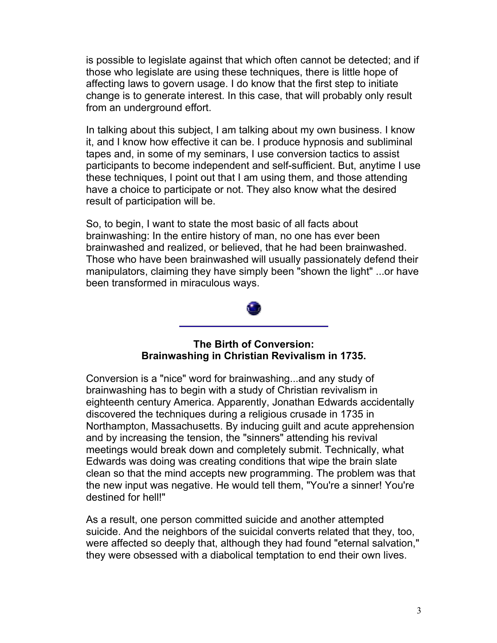is possible to legislate against that which often cannot be detected; and if those who legislate are using these techniques, there is little hope of affecting laws to govern usage. I do know that the first step to initiate change is to generate interest. In this case, that will probably only result from an underground effort.

In talking about this subject, I am talking about my own business. I know it, and I know how effective it can be. I produce hypnosis and subliminal tapes and, in some of my seminars, I use conversion tactics to assist participants to become independent and self-sufficient. But, anytime I use these techniques, I point out that I am using them, and those attending have a choice to participate or not. They also know what the desired result of participation will be.

So, to begin, I want to state the most basic of all facts about brainwashing: In the entire history of man, no one has ever been brainwashed and realized, or believed, that he had been brainwashed. Those who have been brainwashed will usually passionately defend their manipulators, claiming they have simply been "shown the light" ...or have been transformed in miraculous ways.



**The Birth of Conversion: Brainwashing in Christian Revivalism in 1735.** 

Conversion is a "nice" word for brainwashing...and any study of brainwashing has to begin with a study of Christian revivalism in eighteenth century America. Apparently, Jonathan Edwards accidentally discovered the techniques during a religious crusade in 1735 in Northampton, Massachusetts. By inducing guilt and acute apprehension and by increasing the tension, the "sinners" attending his revival meetings would break down and completely submit. Technically, what Edwards was doing was creating conditions that wipe the brain slate clean so that the mind accepts new programming. The problem was that the new input was negative. He would tell them, "You're a sinner! You're destined for hell!"

As a result, one person committed suicide and another attempted suicide. And the neighbors of the suicidal converts related that they, too, were affected so deeply that, although they had found "eternal salvation," they were obsessed with a diabolical temptation to end their own lives.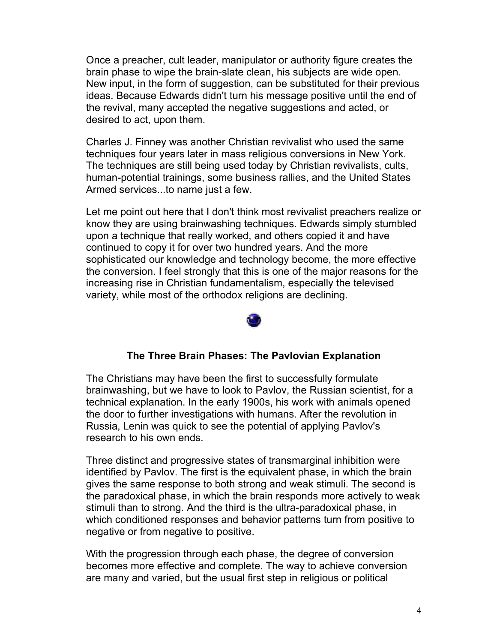Once a preacher, cult leader, manipulator or authority figure creates the brain phase to wipe the brain-slate clean, his subjects are wide open. New input, in the form of suggestion, can be substituted for their previous ideas. Because Edwards didn't turn his message positive until the end of the revival, many accepted the negative suggestions and acted, or desired to act, upon them.

Charles J. Finney was another Christian revivalist who used the same techniques four years later in mass religious conversions in New York. The techniques are still being used today by Christian revivalists, cults, human-potential trainings, some business rallies, and the United States Armed services...to name just a few.

Let me point out here that I don't think most revivalist preachers realize or know they are using brainwashing techniques. Edwards simply stumbled upon a technique that really worked, and others copied it and have continued to copy it for over two hundred years. And the more sophisticated our knowledge and technology become, the more effective the conversion. I feel strongly that this is one of the major reasons for the increasing rise in Christian fundamentalism, especially the televised variety, while most of the orthodox religions are declining.



### **The Three Brain Phases: The Pavlovian Explanation**

The Christians may have been the first to successfully formulate brainwashing, but we have to look to Pavlov, the Russian scientist, for a technical explanation. In the early 1900s, his work with animals opened the door to further investigations with humans. After the revolution in Russia, Lenin was quick to see the potential of applying Pavlov's research to his own ends.

Three distinct and progressive states of transmarginal inhibition were identified by Pavlov. The first is the equivalent phase, in which the brain gives the same response to both strong and weak stimuli. The second is the paradoxical phase, in which the brain responds more actively to weak stimuli than to strong. And the third is the ultra-paradoxical phase, in which conditioned responses and behavior patterns turn from positive to negative or from negative to positive.

With the progression through each phase, the degree of conversion becomes more effective and complete. The way to achieve conversion are many and varied, but the usual first step in religious or political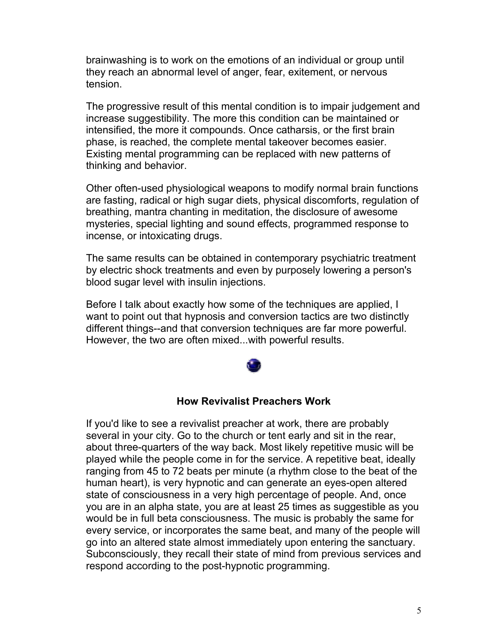brainwashing is to work on the emotions of an individual or group until they reach an abnormal level of anger, fear, exitement, or nervous tension.

The progressive result of this mental condition is to impair judgement and increase suggestibility. The more this condition can be maintained or intensified, the more it compounds. Once catharsis, or the first brain phase, is reached, the complete mental takeover becomes easier. Existing mental programming can be replaced with new patterns of thinking and behavior.

Other often-used physiological weapons to modify normal brain functions are fasting, radical or high sugar diets, physical discomforts, regulation of breathing, mantra chanting in meditation, the disclosure of awesome mysteries, special lighting and sound effects, programmed response to incense, or intoxicating drugs.

The same results can be obtained in contemporary psychiatric treatment by electric shock treatments and even by purposely lowering a person's blood sugar level with insulin injections.

Before I talk about exactly how some of the techniques are applied, I want to point out that hypnosis and conversion tactics are two distinctly different things--and that conversion techniques are far more powerful. However, the two are often mixed...with powerful results.

#### **How Revivalist Preachers Work**

If you'd like to see a revivalist preacher at work, there are probably several in your city. Go to the church or tent early and sit in the rear, about three-quarters of the way back. Most likely repetitive music will be played while the people come in for the service. A repetitive beat, ideally ranging from 45 to 72 beats per minute (a rhythm close to the beat of the human heart), is very hypnotic and can generate an eyes-open altered state of consciousness in a very high percentage of people. And, once you are in an alpha state, you are at least 25 times as suggestible as you would be in full beta consciousness. The music is probably the same for every service, or incorporates the same beat, and many of the people will go into an altered state almost immediately upon entering the sanctuary. Subconsciously, they recall their state of mind from previous services and respond according to the post-hypnotic programming.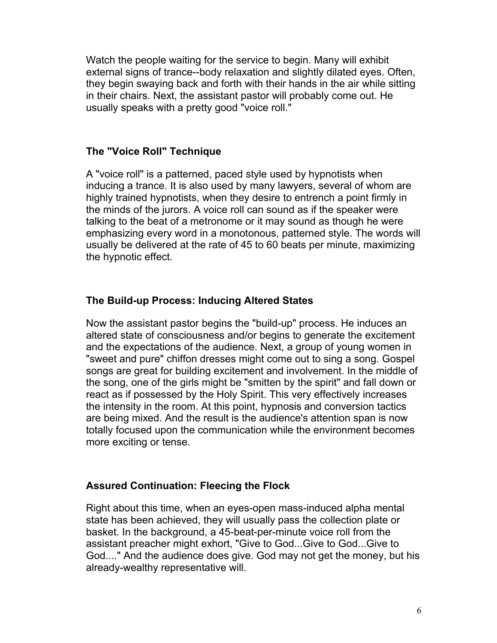Watch the people waiting for the service to begin. Many will exhibit external signs of trance--body relaxation and slightly dilated eyes. Often, they begin swaying back and forth with their hands in the air while sitting in their chairs. Next, the assistant pastor will probably come out. He usually speaks with a pretty good "voice roll."

# **The "Voice Roll" Technique**

A "voice roll" is a patterned, paced style used by hypnotists when inducing a trance. It is also used by many lawyers, several of whom are highly trained hypnotists, when they desire to entrench a point firmly in the minds of the jurors. A voice roll can sound as if the speaker were talking to the beat of a metronome or it may sound as though he were emphasizing every word in a monotonous, patterned style. The words will usually be delivered at the rate of 45 to 60 beats per minute, maximizing the hypnotic effect.

# **The Build-up Process: Inducing Altered States**

Now the assistant pastor begins the "build-up" process. He induces an altered state of consciousness and/or begins to generate the excitement and the expectations of the audience. Next, a group of young women in "sweet and pure" chiffon dresses might come out to sing a song. Gospel songs are great for building excitement and involvement. In the middle of the song, one of the girls might be "smitten by the spirit" and fall down or react as if possessed by the Holy Spirit. This very effectively increases the intensity in the room. At this point, hypnosis and conversion tactics are being mixed. And the result is the audience's attention span is now totally focused upon the communication while the environment becomes more exciting or tense.

### **Assured Continuation: Fleecing the Flock**

Right about this time, when an eyes-open mass-induced alpha mental state has been achieved, they will usually pass the collection plate or basket. In the background, a 45-beat-per-minute voice roll from the assistant preacher might exhort, "Give to God...Give to God...Give to God...." And the audience does give. God may not get the money, but his already-wealthy representative will.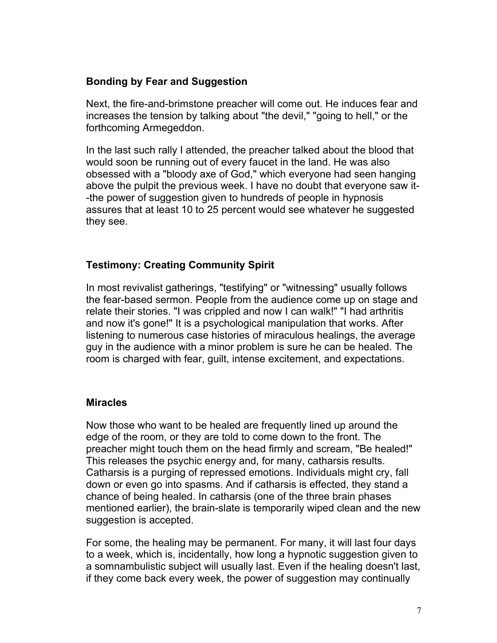# **Bonding by Fear and Suggestion**

Next, the fire-and-brimstone preacher will come out. He induces fear and increases the tension by talking about "the devil," "going to hell," or the forthcoming Armegeddon.

In the last such rally I attended, the preacher talked about the blood that would soon be running out of every faucet in the land. He was also obsessed with a "bloody axe of God," which everyone had seen hanging above the pulpit the previous week. I have no doubt that everyone saw it- -the power of suggestion given to hundreds of people in hypnosis assures that at least 10 to 25 percent would see whatever he suggested they see.

# **Testimony: Creating Community Spirit**

In most revivalist gatherings, "testifying" or "witnessing" usually follows the fear-based sermon. People from the audience come up on stage and relate their stories. "I was crippled and now I can walk!" "I had arthritis and now it's gone!" It is a psychological manipulation that works. After listening to numerous case histories of miraculous healings, the average guy in the audience with a minor problem is sure he can be healed. The room is charged with fear, guilt, intense excitement, and expectations.

### **Miracles**

Now those who want to be healed are frequently lined up around the edge of the room, or they are told to come down to the front. The preacher might touch them on the head firmly and scream, "Be healed!" This releases the psychic energy and, for many, catharsis results. Catharsis is a purging of repressed emotions. Individuals might cry, fall down or even go into spasms. And if catharsis is effected, they stand a chance of being healed. In catharsis (one of the three brain phases mentioned earlier), the brain-slate is temporarily wiped clean and the new suggestion is accepted.

For some, the healing may be permanent. For many, it will last four days to a week, which is, incidentally, how long a hypnotic suggestion given to a somnambulistic subject will usually last. Even if the healing doesn't last, if they come back every week, the power of suggestion may continually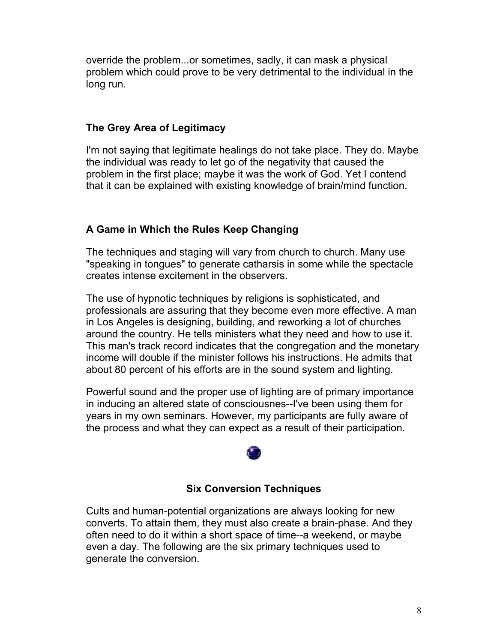override the problem...or sometimes, sadly, it can mask a physical problem which could prove to be very detrimental to the individual in the long run.

## **The Grey Area of Legitimacy**

I'm not saying that legitimate healings do not take place. They do. Maybe the individual was ready to let go of the negativity that caused the problem in the first place; maybe it was the work of God. Yet I contend that it can be explained with existing knowledge of brain/mind function.

# **A Game in Which the Rules Keep Changing**

The techniques and staging will vary from church to church. Many use "speaking in tongues" to generate catharsis in some while the spectacle creates intense excitement in the observers.

The use of hypnotic techniques by religions is sophisticated, and professionals are assuring that they become even more effective. A man in Los Angeles is designing, building, and reworking a lot of churches around the country. He tells ministers what they need and how to use it. This man's track record indicates that the congregation and the monetary income will double if the minister follows his instructions. He admits that about 80 percent of his efforts are in the sound system and lighting.

Powerful sound and the proper use of lighting are of primary importance in inducing an altered state of consciousnes--I've been using them for years in my own seminars. However, my participants are fully aware of the process and what they can expect as a result of their participation.



# **Six Conversion Techniques**

Cults and human-potential organizations are always looking for new converts. To attain them, they must also create a brain-phase. And they often need to do it within a short space of time--a weekend, or maybe even a day. The following are the six primary techniques used to generate the conversion.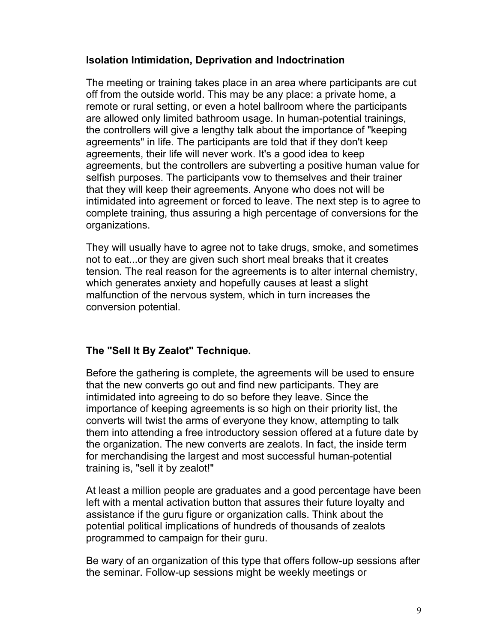## **Isolation Intimidation, Deprivation and Indoctrination**

The meeting or training takes place in an area where participants are cut off from the outside world. This may be any place: a private home, a remote or rural setting, or even a hotel ballroom where the participants are allowed only limited bathroom usage. In human-potential trainings, the controllers will give a lengthy talk about the importance of "keeping agreements" in life. The participants are told that if they don't keep agreements, their life will never work. It's a good idea to keep agreements, but the controllers are subverting a positive human value for selfish purposes. The participants vow to themselves and their trainer that they will keep their agreements. Anyone who does not will be intimidated into agreement or forced to leave. The next step is to agree to complete training, thus assuring a high percentage of conversions for the organizations.

They will usually have to agree not to take drugs, smoke, and sometimes not to eat...or they are given such short meal breaks that it creates tension. The real reason for the agreements is to alter internal chemistry, which generates anxiety and hopefully causes at least a slight malfunction of the nervous system, which in turn increases the conversion potential.

# **The "Sell It By Zealot" Technique.**

Before the gathering is complete, the agreements will be used to ensure that the new converts go out and find new participants. They are intimidated into agreeing to do so before they leave. Since the importance of keeping agreements is so high on their priority list, the converts will twist the arms of everyone they know, attempting to talk them into attending a free introductory session offered at a future date by the organization. The new converts are zealots. In fact, the inside term for merchandising the largest and most successful human-potential training is, "sell it by zealot!"

At least a million people are graduates and a good percentage have been left with a mental activation button that assures their future loyalty and assistance if the guru figure or organization calls. Think about the potential political implications of hundreds of thousands of zealots programmed to campaign for their guru.

Be wary of an organization of this type that offers follow-up sessions after the seminar. Follow-up sessions might be weekly meetings or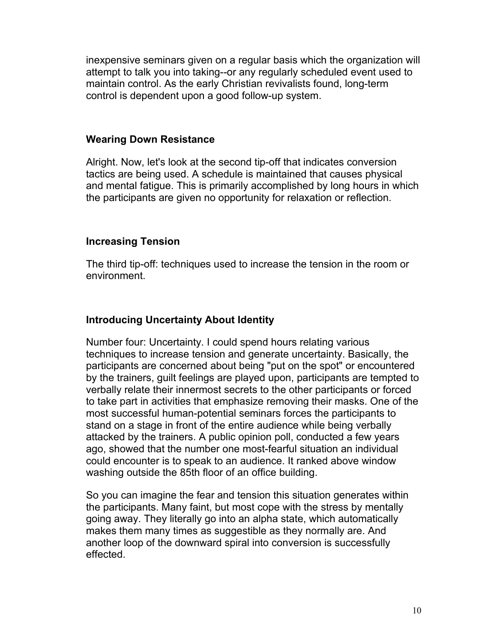inexpensive seminars given on a regular basis which the organization will attempt to talk you into taking--or any regularly scheduled event used to maintain control. As the early Christian revivalists found, long-term control is dependent upon a good follow-up system.

#### **Wearing Down Resistance**

Alright. Now, let's look at the second tip-off that indicates conversion tactics are being used. A schedule is maintained that causes physical and mental fatigue. This is primarily accomplished by long hours in which the participants are given no opportunity for relaxation or reflection.

# **Increasing Tension**

The third tip-off: techniques used to increase the tension in the room or environment.

# **Introducing Uncertainty About Identity**

Number four: Uncertainty. I could spend hours relating various techniques to increase tension and generate uncertainty. Basically, the participants are concerned about being "put on the spot" or encountered by the trainers, guilt feelings are played upon, participants are tempted to verbally relate their innermost secrets to the other participants or forced to take part in activities that emphasize removing their masks. One of the most successful human-potential seminars forces the participants to stand on a stage in front of the entire audience while being verbally attacked by the trainers. A public opinion poll, conducted a few years ago, showed that the number one most-fearful situation an individual could encounter is to speak to an audience. It ranked above window washing outside the 85th floor of an office building.

So you can imagine the fear and tension this situation generates within the participants. Many faint, but most cope with the stress by mentally going away. They literally go into an alpha state, which automatically makes them many times as suggestible as they normally are. And another loop of the downward spiral into conversion is successfully effected.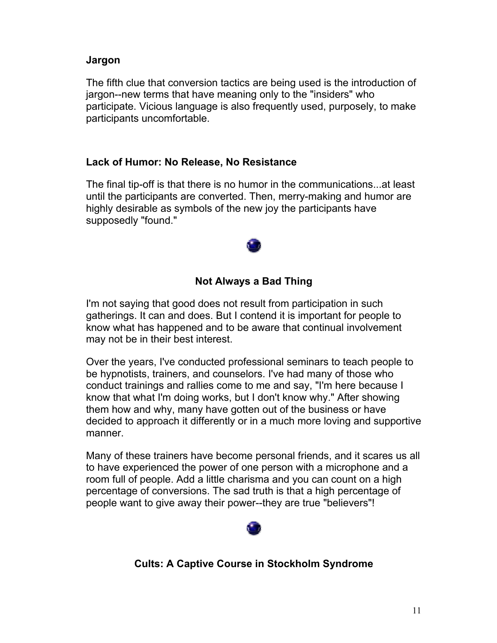#### **Jargon**

The fifth clue that conversion tactics are being used is the introduction of jargon--new terms that have meaning only to the "insiders" who participate. Vicious language is also frequently used, purposely, to make participants uncomfortable.

### **Lack of Humor: No Release, No Resistance**

The final tip-off is that there is no humor in the communications...at least until the participants are converted. Then, merry-making and humor are highly desirable as symbols of the new joy the participants have supposedly "found."

# **Not Always a Bad Thing**

I'm not saying that good does not result from participation in such gatherings. It can and does. But I contend it is important for people to know what has happened and to be aware that continual involvement may not be in their best interest.

Over the years, I've conducted professional seminars to teach people to be hypnotists, trainers, and counselors. I've had many of those who conduct trainings and rallies come to me and say, "I'm here because I know that what I'm doing works, but I don't know why." After showing them how and why, many have gotten out of the business or have decided to approach it differently or in a much more loving and supportive manner.

Many of these trainers have become personal friends, and it scares us all to have experienced the power of one person with a microphone and a room full of people. Add a little charisma and you can count on a high percentage of conversions. The sad truth is that a high percentage of people want to give away their power--they are true "believers"!



### **Cults: A Captive Course in Stockholm Syndrome**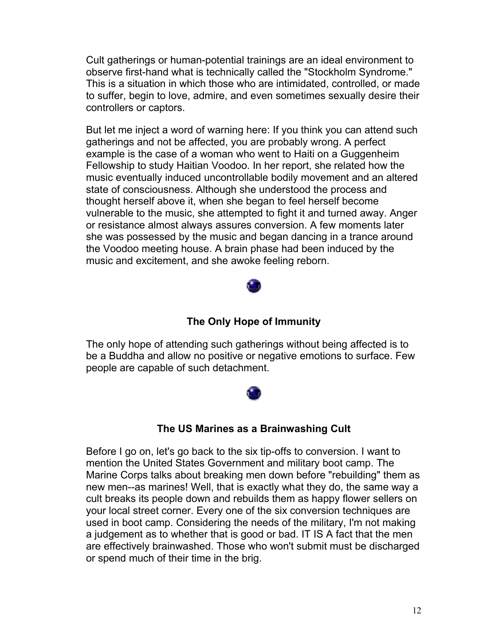Cult gatherings or human-potential trainings are an ideal environment to observe first-hand what is technically called the "Stockholm Syndrome." This is a situation in which those who are intimidated, controlled, or made to suffer, begin to love, admire, and even sometimes sexually desire their controllers or captors.

But let me inject a word of warning here: If you think you can attend such gatherings and not be affected, you are probably wrong. A perfect example is the case of a woman who went to Haiti on a Guggenheim Fellowship to study Haitian Voodoo. In her report, she related how the music eventually induced uncontrollable bodily movement and an altered state of consciousness. Although she understood the process and thought herself above it, when she began to feel herself become vulnerable to the music, she attempted to fight it and turned away. Anger or resistance almost always assures conversion. A few moments later she was possessed by the music and began dancing in a trance around the Voodoo meeting house. A brain phase had been induced by the music and excitement, and she awoke feeling reborn.



### **The Only Hope of Immunity**

The only hope of attending such gatherings without being affected is to be a Buddha and allow no positive or negative emotions to surface. Few people are capable of such detachment.

#### **The US Marines as a Brainwashing Cult**

Before I go on, let's go back to the six tip-offs to conversion. I want to mention the United States Government and military boot camp. The Marine Corps talks about breaking men down before "rebuilding" them as new men--as marines! Well, that is exactly what they do, the same way a cult breaks its people down and rebuilds them as happy flower sellers on your local street corner. Every one of the six conversion techniques are used in boot camp. Considering the needs of the military, I'm not making a judgement as to whether that is good or bad. IT IS A fact that the men are effectively brainwashed. Those who won't submit must be discharged or spend much of their time in the brig.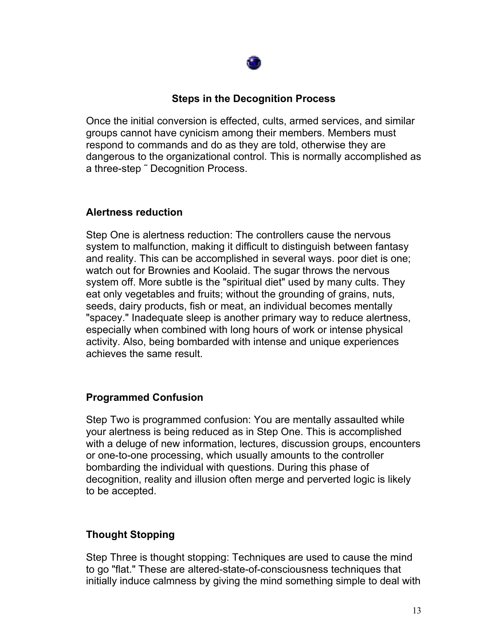

#### **Steps in the Decognition Process**

Once the initial conversion is effected, cults, armed services, and similar groups cannot have cynicism among their members. Members must respond to commands and do as they are told, otherwise they are dangerous to the organizational control. This is normally accomplished as a three-step ˜ Decognition Process.

#### **Alertness reduction**

Step One is alertness reduction: The controllers cause the nervous system to malfunction, making it difficult to distinguish between fantasy and reality. This can be accomplished in several ways. poor diet is one; watch out for Brownies and Koolaid. The sugar throws the nervous system off. More subtle is the "spiritual diet" used by many cults. They eat only vegetables and fruits; without the grounding of grains, nuts, seeds, dairy products, fish or meat, an individual becomes mentally "spacey." Inadequate sleep is another primary way to reduce alertness, especially when combined with long hours of work or intense physical activity. Also, being bombarded with intense and unique experiences achieves the same result.

### **Programmed Confusion**

Step Two is programmed confusion: You are mentally assaulted while your alertness is being reduced as in Step One. This is accomplished with a deluge of new information, lectures, discussion groups, encounters or one-to-one processing, which usually amounts to the controller bombarding the individual with questions. During this phase of decognition, reality and illusion often merge and perverted logic is likely to be accepted.

# **Thought Stopping**

Step Three is thought stopping: Techniques are used to cause the mind to go "flat." These are altered-state-of-consciousness techniques that initially induce calmness by giving the mind something simple to deal with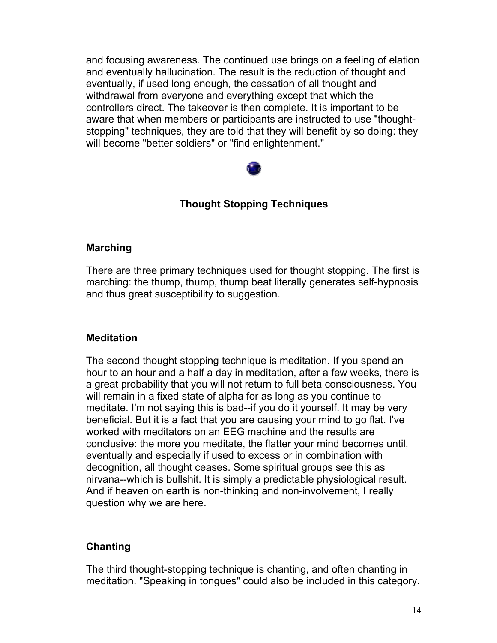and focusing awareness. The continued use brings on a feeling of elation and eventually hallucination. The result is the reduction of thought and eventually, if used long enough, the cessation of all thought and withdrawal from everyone and everything except that which the controllers direct. The takeover is then complete. It is important to be aware that when members or participants are instructed to use "thoughtstopping" techniques, they are told that they will benefit by so doing: they will become "better soldiers" or "find enlightenment."



# **Thought Stopping Techniques**

### **Marching**

There are three primary techniques used for thought stopping. The first is marching: the thump, thump, thump beat literally generates self-hypnosis and thus great susceptibility to suggestion.

#### **Meditation**

The second thought stopping technique is meditation. If you spend an hour to an hour and a half a day in meditation, after a few weeks, there is a great probability that you will not return to full beta consciousness. You will remain in a fixed state of alpha for as long as you continue to meditate. I'm not saying this is bad--if you do it yourself. It may be very beneficial. But it is a fact that you are causing your mind to go flat. I've worked with meditators on an EEG machine and the results are conclusive: the more you meditate, the flatter your mind becomes until, eventually and especially if used to excess or in combination with decognition, all thought ceases. Some spiritual groups see this as nirvana--which is bullshit. It is simply a predictable physiological result. And if heaven on earth is non-thinking and non-involvement, I really question why we are here.

### **Chanting**

The third thought-stopping technique is chanting, and often chanting in meditation. "Speaking in tongues" could also be included in this category.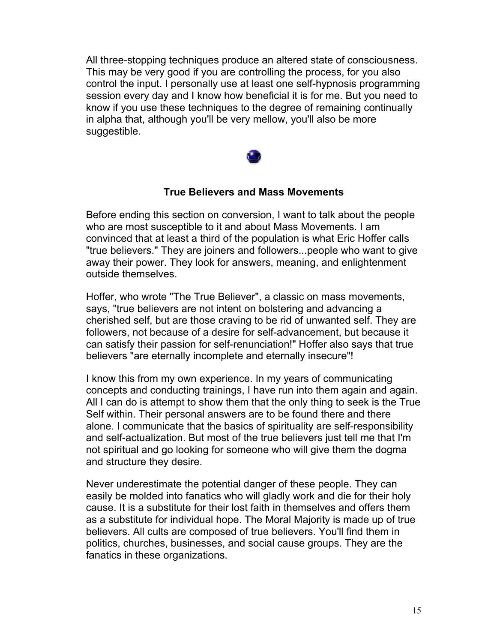All three-stopping techniques produce an altered state of consciousness. This may be very good if you are controlling the process, for you also control the input. I personally use at least one self-hypnosis programming session every day and I know how beneficial it is for me. But you need to know if you use these techniques to the degree of remaining continually in alpha that, although you'll be very mellow, you'll also be more suggestible.



#### **True Believers and Mass Movements**

Before ending this section on conversion, I want to talk about the people who are most susceptible to it and about Mass Movements. I am convinced that at least a third of the population is what Eric Hoffer calls "true believers." They are joiners and followers...people who want to give away their power. They look for answers, meaning, and enlightenment outside themselves.

Hoffer, who wrote "The True Believer", a classic on mass movements, says, "true believers are not intent on bolstering and advancing a cherished self, but are those craving to be rid of unwanted self. They are followers, not because of a desire for self-advancement, but because it can satisfy their passion for self-renunciation!" Hoffer also says that true believers "are eternally incomplete and eternally insecure"!

I know this from my own experience. In my years of communicating concepts and conducting trainings, I have run into them again and again. All I can do is attempt to show them that the only thing to seek is the True Self within. Their personal answers are to be found there and there alone. I communicate that the basics of spirituality are self-responsibility and self-actualization. But most of the true believers just tell me that I'm not spiritual and go looking for someone who will give them the dogma and structure they desire.

Never underestimate the potential danger of these people. They can easily be molded into fanatics who will gladly work and die for their holy cause. It is a substitute for their lost faith in themselves and offers them as a substitute for individual hope. The Moral Majority is made up of true believers. All cults are composed of true believers. You'll find them in politics, churches, businesses, and social cause groups. They are the fanatics in these organizations.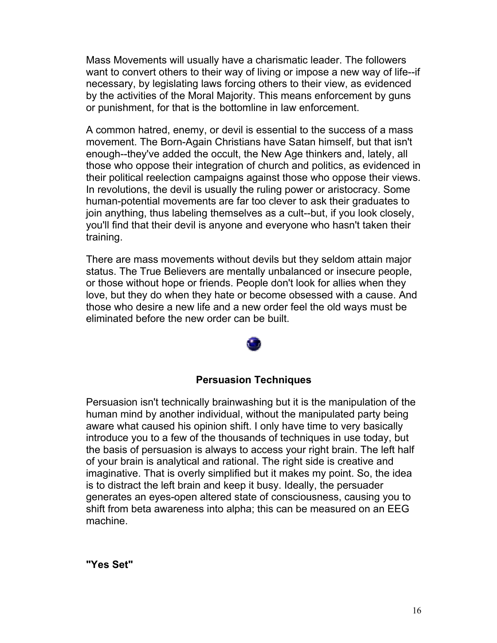Mass Movements will usually have a charismatic leader. The followers want to convert others to their way of living or impose a new way of life--if necessary, by legislating laws forcing others to their view, as evidenced by the activities of the Moral Majority. This means enforcement by guns or punishment, for that is the bottomline in law enforcement.

A common hatred, enemy, or devil is essential to the success of a mass movement. The Born-Again Christians have Satan himself, but that isn't enough--they've added the occult, the New Age thinkers and, lately, all those who oppose their integration of church and politics, as evidenced in their political reelection campaigns against those who oppose their views. In revolutions, the devil is usually the ruling power or aristocracy. Some human-potential movements are far too clever to ask their graduates to join anything, thus labeling themselves as a cult--but, if you look closely, you'll find that their devil is anyone and everyone who hasn't taken their training.

There are mass movements without devils but they seldom attain major status. The True Believers are mentally unbalanced or insecure people, or those without hope or friends. People don't look for allies when they love, but they do when they hate or become obsessed with a cause. And those who desire a new life and a new order feel the old ways must be eliminated before the new order can be built.

#### **Persuasion Techniques**

Persuasion isn't technically brainwashing but it is the manipulation of the human mind by another individual, without the manipulated party being aware what caused his opinion shift. I only have time to very basically introduce you to a few of the thousands of techniques in use today, but the basis of persuasion is always to access your right brain. The left half of your brain is analytical and rational. The right side is creative and imaginative. That is overly simplified but it makes my point. So, the idea is to distract the left brain and keep it busy. Ideally, the persuader generates an eyes-open altered state of consciousness, causing you to shift from beta awareness into alpha; this can be measured on an EEG machine.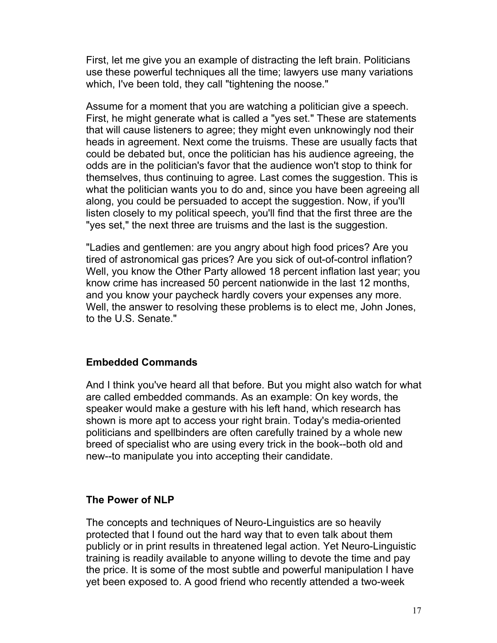First, let me give you an example of distracting the left brain. Politicians use these powerful techniques all the time; lawyers use many variations which, I've been told, they call "tightening the noose."

Assume for a moment that you are watching a politician give a speech. First, he might generate what is called a "yes set." These are statements that will cause listeners to agree; they might even unknowingly nod their heads in agreement. Next come the truisms. These are usually facts that could be debated but, once the politician has his audience agreeing, the odds are in the politician's favor that the audience won't stop to think for themselves, thus continuing to agree. Last comes the suggestion. This is what the politician wants you to do and, since you have been agreeing all along, you could be persuaded to accept the suggestion. Now, if you'll listen closely to my political speech, you'll find that the first three are the "yes set," the next three are truisms and the last is the suggestion.

"Ladies and gentlemen: are you angry about high food prices? Are you tired of astronomical gas prices? Are you sick of out-of-control inflation? Well, you know the Other Party allowed 18 percent inflation last year; you know crime has increased 50 percent nationwide in the last 12 months, and you know your paycheck hardly covers your expenses any more. Well, the answer to resolving these problems is to elect me, John Jones, to the U.S. Senate."

### **Embedded Commands**

And I think you've heard all that before. But you might also watch for what are called embedded commands. As an example: On key words, the speaker would make a gesture with his left hand, which research has shown is more apt to access your right brain. Today's media-oriented politicians and spellbinders are often carefully trained by a whole new breed of specialist who are using every trick in the book--both old and new--to manipulate you into accepting their candidate.

### **The Power of NLP**

The concepts and techniques of Neuro-Linguistics are so heavily protected that I found out the hard way that to even talk about them publicly or in print results in threatened legal action. Yet Neuro-Linguistic training is readily available to anyone willing to devote the time and pay the price. It is some of the most subtle and powerful manipulation I have yet been exposed to. A good friend who recently attended a two-week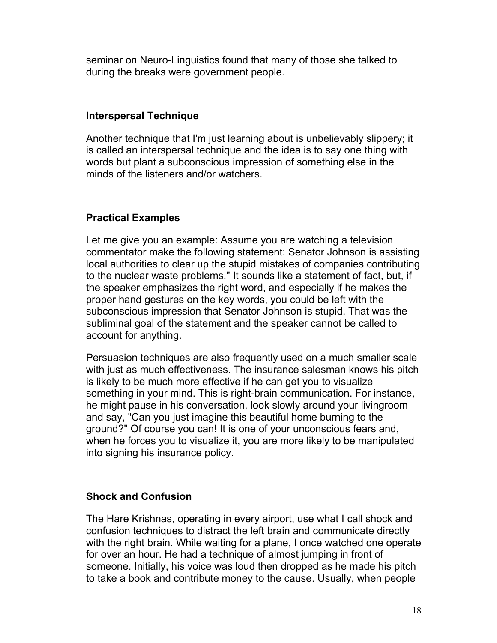seminar on Neuro-Linguistics found that many of those she talked to during the breaks were government people.

# **Interspersal Technique**

Another technique that I'm just learning about is unbelievably slippery; it is called an interspersal technique and the idea is to say one thing with words but plant a subconscious impression of something else in the minds of the listeners and/or watchers.

# **Practical Examples**

Let me give you an example: Assume you are watching a television commentator make the following statement: Senator Johnson is assisting local authorities to clear up the stupid mistakes of companies contributing to the nuclear waste problems." It sounds like a statement of fact, but, if the speaker emphasizes the right word, and especially if he makes the proper hand gestures on the key words, you could be left with the subconscious impression that Senator Johnson is stupid. That was the subliminal goal of the statement and the speaker cannot be called to account for anything.

Persuasion techniques are also frequently used on a much smaller scale with just as much effectiveness. The insurance salesman knows his pitch is likely to be much more effective if he can get you to visualize something in your mind. This is right-brain communication. For instance, he might pause in his conversation, look slowly around your livingroom and say, "Can you just imagine this beautiful home burning to the ground?" Of course you can! It is one of your unconscious fears and, when he forces you to visualize it, you are more likely to be manipulated into signing his insurance policy.

# **Shock and Confusion**

The Hare Krishnas, operating in every airport, use what I call shock and confusion techniques to distract the left brain and communicate directly with the right brain. While waiting for a plane, I once watched one operate for over an hour. He had a technique of almost jumping in front of someone. Initially, his voice was loud then dropped as he made his pitch to take a book and contribute money to the cause. Usually, when people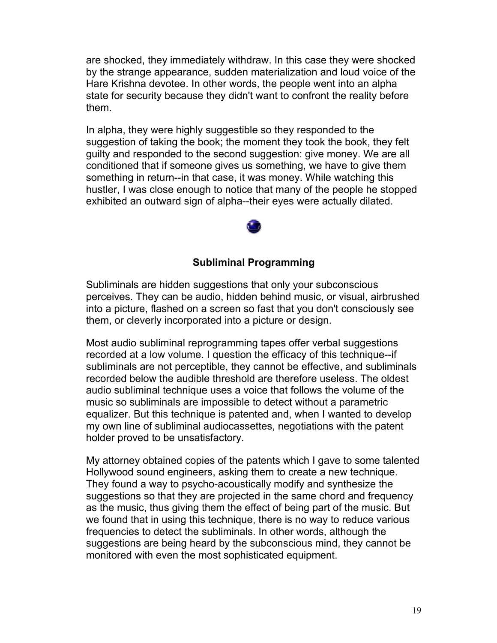are shocked, they immediately withdraw. In this case they were shocked by the strange appearance, sudden materialization and loud voice of the Hare Krishna devotee. In other words, the people went into an alpha state for security because they didn't want to confront the reality before them.

In alpha, they were highly suggestible so they responded to the suggestion of taking the book; the moment they took the book, they felt guilty and responded to the second suggestion: give money. We are all conditioned that if someone gives us something, we have to give them something in return--in that case, it was money. While watching this hustler, I was close enough to notice that many of the people he stopped exhibited an outward sign of alpha--their eyes were actually dilated.

# **Subliminal Programming**

Subliminals are hidden suggestions that only your subconscious perceives. They can be audio, hidden behind music, or visual, airbrushed into a picture, flashed on a screen so fast that you don't consciously see them, or cleverly incorporated into a picture or design.

Most audio subliminal reprogramming tapes offer verbal suggestions recorded at a low volume. I question the efficacy of this technique--if subliminals are not perceptible, they cannot be effective, and subliminals recorded below the audible threshold are therefore useless. The oldest audio subliminal technique uses a voice that follows the volume of the music so subliminals are impossible to detect without a parametric equalizer. But this technique is patented and, when I wanted to develop my own line of subliminal audiocassettes, negotiations with the patent holder proved to be unsatisfactory.

My attorney obtained copies of the patents which I gave to some talented Hollywood sound engineers, asking them to create a new technique. They found a way to psycho-acoustically modify and synthesize the suggestions so that they are projected in the same chord and frequency as the music, thus giving them the effect of being part of the music. But we found that in using this technique, there is no way to reduce various frequencies to detect the subliminals. In other words, although the suggestions are being heard by the subconscious mind, they cannot be monitored with even the most sophisticated equipment.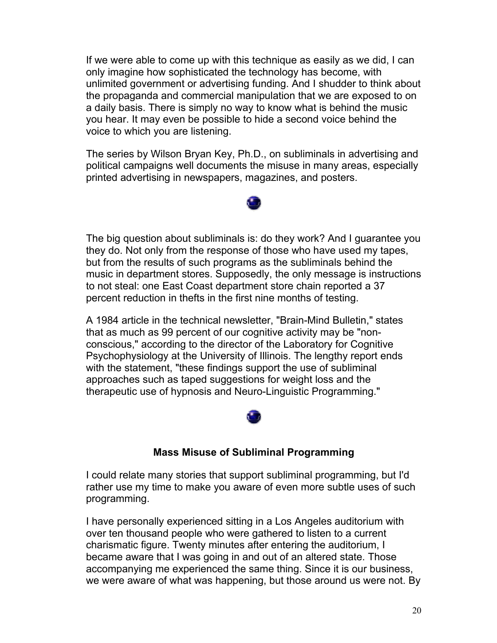If we were able to come up with this technique as easily as we did, I can only imagine how sophisticated the technology has become, with unlimited government or advertising funding. And I shudder to think about the propaganda and commercial manipulation that we are exposed to on a daily basis. There is simply no way to know what is behind the music you hear. It may even be possible to hide a second voice behind the voice to which you are listening.

The series by Wilson Bryan Key, Ph.D., on subliminals in advertising and political campaigns well documents the misuse in many areas, especially printed advertising in newspapers, magazines, and posters.

The big question about subliminals is: do they work? And I guarantee you they do. Not only from the response of those who have used my tapes, but from the results of such programs as the subliminals behind the music in department stores. Supposedly, the only message is instructions to not steal: one East Coast department store chain reported a 37 percent reduction in thefts in the first nine months of testing.

A 1984 article in the technical newsletter, "Brain-Mind Bulletin," states that as much as 99 percent of our cognitive activity may be "nonconscious," according to the director of the Laboratory for Cognitive Psychophysiology at the University of Illinois. The lengthy report ends with the statement, "these findings support the use of subliminal approaches such as taped suggestions for weight loss and the therapeutic use of hypnosis and Neuro-Linguistic Programming."



### **Mass Misuse of Subliminal Programming**

I could relate many stories that support subliminal programming, but I'd rather use my time to make you aware of even more subtle uses of such programming.

I have personally experienced sitting in a Los Angeles auditorium with over ten thousand people who were gathered to listen to a current charismatic figure. Twenty minutes after entering the auditorium, I became aware that I was going in and out of an altered state. Those accompanying me experienced the same thing. Since it is our business, we were aware of what was happening, but those around us were not. By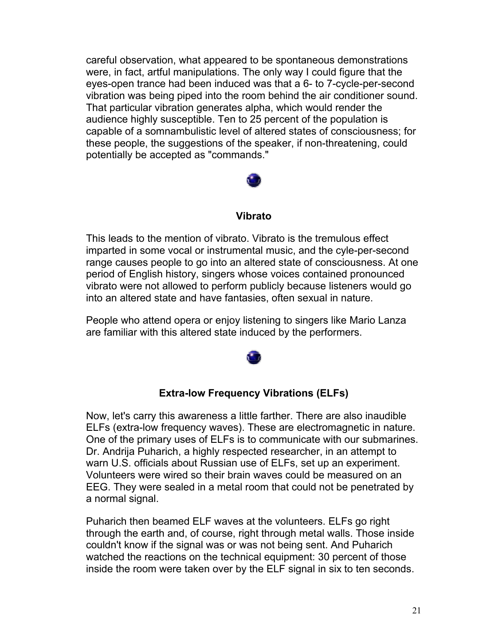careful observation, what appeared to be spontaneous demonstrations were, in fact, artful manipulations. The only way I could figure that the eyes-open trance had been induced was that a 6- to 7-cycle-per-second vibration was being piped into the room behind the air conditioner sound. That particular vibration generates alpha, which would render the audience highly susceptible. Ten to 25 percent of the population is capable of a somnambulistic level of altered states of consciousness; for these people, the suggestions of the speaker, if non-threatening, could potentially be accepted as "commands."



#### **Vibrato**

This leads to the mention of vibrato. Vibrato is the tremulous effect imparted in some vocal or instrumental music, and the cyle-per-second range causes people to go into an altered state of consciousness. At one period of English history, singers whose voices contained pronounced vibrato were not allowed to perform publicly because listeners would go into an altered state and have fantasies, often sexual in nature.

People who attend opera or enjoy listening to singers like Mario Lanza are familiar with this altered state induced by the performers.

#### **Extra-low Frequency Vibrations (ELFs)**

Now, let's carry this awareness a little farther. There are also inaudible ELFs (extra-low frequency waves). These are electromagnetic in nature. One of the primary uses of ELFs is to communicate with our submarines. Dr. Andrija Puharich, a highly respected researcher, in an attempt to warn U.S. officials about Russian use of ELFs, set up an experiment. Volunteers were wired so their brain waves could be measured on an EEG. They were sealed in a metal room that could not be penetrated by a normal signal.

Puharich then beamed ELF waves at the volunteers. ELFs go right through the earth and, of course, right through metal walls. Those inside couldn't know if the signal was or was not being sent. And Puharich watched the reactions on the technical equipment: 30 percent of those inside the room were taken over by the ELF signal in six to ten seconds.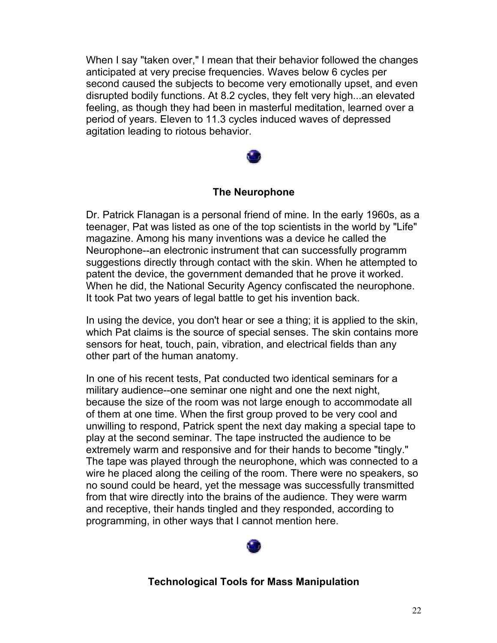When I say "taken over," I mean that their behavior followed the changes anticipated at very precise frequencies. Waves below 6 cycles per second caused the subjects to become very emotionally upset, and even disrupted bodily functions. At 8.2 cycles, they felt very high...an elevated feeling, as though they had been in masterful meditation, learned over a period of years. Eleven to 11.3 cycles induced waves of depressed agitation leading to riotous behavior.



#### **The Neurophone**

Dr. Patrick Flanagan is a personal friend of mine. In the early 1960s, as a teenager, Pat was listed as one of the top scientists in the world by "Life" magazine. Among his many inventions was a device he called the Neurophone--an electronic instrument that can successfully programm suggestions directly through contact with the skin. When he attempted to patent the device, the government demanded that he prove it worked. When he did, the National Security Agency confiscated the neurophone. It took Pat two years of legal battle to get his invention back.

In using the device, you don't hear or see a thing; it is applied to the skin, which Pat claims is the source of special senses. The skin contains more sensors for heat, touch, pain, vibration, and electrical fields than any other part of the human anatomy.

In one of his recent tests, Pat conducted two identical seminars for a military audience--one seminar one night and one the next night, because the size of the room was not large enough to accommodate all of them at one time. When the first group proved to be very cool and unwilling to respond, Patrick spent the next day making a special tape to play at the second seminar. The tape instructed the audience to be extremely warm and responsive and for their hands to become "tingly." The tape was played through the neurophone, which was connected to a wire he placed along the ceiling of the room. There were no speakers, so no sound could be heard, yet the message was successfully transmitted from that wire directly into the brains of the audience. They were warm and receptive, their hands tingled and they responded, according to programming, in other ways that I cannot mention here.



#### **Technological Tools for Mass Manipulation**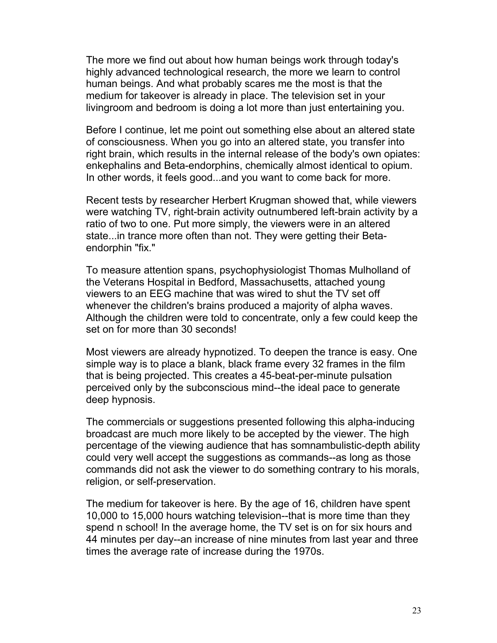The more we find out about how human beings work through today's highly advanced technological research, the more we learn to control human beings. And what probably scares me the most is that the medium for takeover is already in place. The television set in your livingroom and bedroom is doing a lot more than just entertaining you.

Before I continue, let me point out something else about an altered state of consciousness. When you go into an altered state, you transfer into right brain, which results in the internal release of the body's own opiates: enkephalins and Beta-endorphins, chemically almost identical to opium. In other words, it feels good...and you want to come back for more.

Recent tests by researcher Herbert Krugman showed that, while viewers were watching TV, right-brain activity outnumbered left-brain activity by a ratio of two to one. Put more simply, the viewers were in an altered state...in trance more often than not. They were getting their Betaendorphin "fix."

To measure attention spans, psychophysiologist Thomas Mulholland of the Veterans Hospital in Bedford, Massachusetts, attached young viewers to an EEG machine that was wired to shut the TV set off whenever the children's brains produced a majority of alpha waves. Although the children were told to concentrate, only a few could keep the set on for more than 30 seconds!

Most viewers are already hypnotized. To deepen the trance is easy. One simple way is to place a blank, black frame every 32 frames in the film that is being projected. This creates a 45-beat-per-minute pulsation perceived only by the subconscious mind--the ideal pace to generate deep hypnosis.

The commercials or suggestions presented following this alpha-inducing broadcast are much more likely to be accepted by the viewer. The high percentage of the viewing audience that has somnambulistic-depth ability could very well accept the suggestions as commands--as long as those commands did not ask the viewer to do something contrary to his morals, religion, or self-preservation.

The medium for takeover is here. By the age of 16, children have spent 10,000 to 15,000 hours watching television--that is more time than they spend n school! In the average home, the TV set is on for six hours and 44 minutes per day--an increase of nine minutes from last year and three times the average rate of increase during the 1970s.